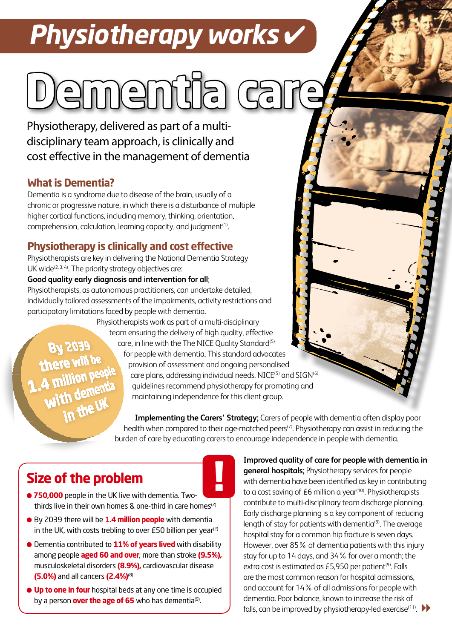# *Physiotherapy works* ✔

# menti

Physiotherapy, delivered as part of a multidisciplinary team approach, is clinically and cost effective in the management of dementia

#### **What is Dementia?**

Dementia is a syndrome due to disease of the brain, usually of a chronic or progressive nature, in which there is a disturbance of multiple higher cortical functions, including memory, thinking, orientation, comprehension, calculation, learning capacity, and judgment<sup>(1)</sup>.

### **Physiotherapy is clinically and cost effective**

Physiotherapists are key in delivering the National Dementia Strategy UK wide $(2, 3, 4)$ . The priority strategy objectives are:

#### **Good quality early diagnosis and intervention for all**;

Physiotherapists, as autonomous practitioners, can undertake detailed, individually tailored assessments of the impairments, activity restrictions and participatory limitations faced by people with dementia.

**BA S03a** there will 4 million peo with demen

Physiotherapists work as part of a multi-disciplinary team ensuring the delivery of high quality, effective care, in line with the The NICE Quality Standard<sup>(5)</sup> for people with dementia. This standard advocates provision of assessment and ongoing personalised care plans, addressing individual needs. NICE<sup>(5)</sup> and SIGN<sup>(6)</sup> guidelines recommend physiotherapy for promoting and maintaining independence for this client group.

**Implementing the Carers' Strategy;** Carers of people with dementia often display poor health when compared to their age-matched peers<sup>(7)</sup>. Physiotherapy can assist in reducing the burden of care by educating carers to encourage independence in people with dementia.

# **Size of the problem**

- 750,000 people in the UK live with dementia. Twothirds live in their own homes & one-third in care homes<sup>(2)</sup>
- By 2039 there will be **1.4 million people** with dementia in the UK, with costs trebling to over  $E50$  billion per year<sup>(2)</sup>
- Dementia contributed to **11% of years lived** with disability among people **aged 60 and over**; more than stroke **(9.5%),** musculoskeletal disorders **(8.9%),** cardiovascular disease **(5.0%)** and all cancers **(2.4%)**(8)
- **Up to one in four** hospital beds at any one time is occupied by a person **over the age of 65** who has dementia<sup>(9)</sup>.

**Example 8 and the spitals;** Physiotherapy services for people<br>with dementia have been identified as key in contribution<br>to a cost saving of £6 million a year<sup>(10)</sup>. Physiotherapists **Improved quality of care for people with dementia in general hospitals;** Physiotherapy services for people with dementia have been identified as key in contributing contribute to multi-disciplinary team discharge planning. Early discharge planning is a key component of reducing length of stay for patients with dementia $(9)$ . The average hospital stay for a common hip fracture is seven days. However, over 85% of dementia patients with this injury stay for up to 14 days, and 34% for over a month; the extra cost is estimated as £5,950 per patient<sup>(9)</sup>. Falls are the most common reason for hospital admissions, and account for 14% of all admissions for people with dementia. Poor balance, known to increase the risk of falls, can be improved by physiotherapy-led exercise<sup>(11)</sup>.